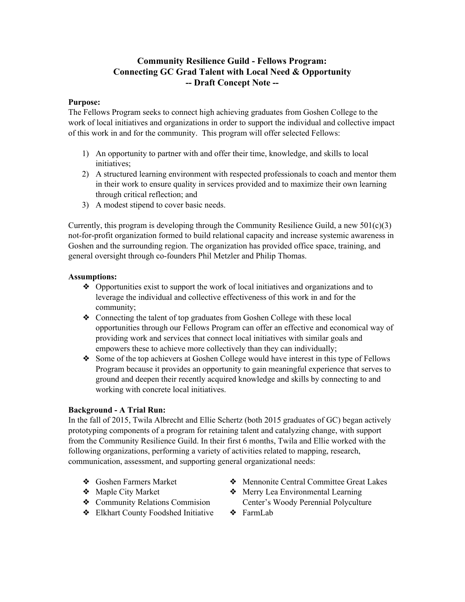# **Community Resilience Guild Fellows Program: Connecting GC Grad Talent with Local Need & Opportunity Draft Concept Note**

### **Purpose:**

The Fellows Program seeks to connect high achieving graduates from Goshen College to the work of local initiatives and organizations in order to support the individual and collective impact of this work in and for the community. This program will offer selected Fellows:

- 1) An opportunity to partner with and offer their time, knowledge, and skills to local initiatives;
- 2) A structured learning environment with respected professionals to coach and mentor them in their work to ensure quality in services provided and to maximize their own learning through critical reflection; and
- 3) A modest stipend to cover basic needs.

Currently, this program is developing through the Community Resilience Guild, a new  $501(c)(3)$ not-for-profit organization formed to build relational capacity and increase systemic awareness in Goshen and the surrounding region. The organization has provided office space, training, and general oversight through co-founders Phil Metzler and Philip Thomas.

### **Assumptions:**

- ❖ Opportunities exist to support the work of local initiatives and organizations and to leverage the individual and collective effectiveness of this work in and for the community;
- ❖ Connecting the talent of top graduates from Goshen College with these local opportunities through our Fellows Program can offer an effective and economical way of providing work and services that connect local initiatives with similar goals and empowers these to achieve more collectively than they can individually;
- ❖ Some of the top achievers at Goshen College would have interest in this type of Fellows Program because it provides an opportunity to gain meaningful experience that serves to ground and deepen their recently acquired knowledge and skills by connecting to and working with concrete local initiatives.

## **Background A Trial Run:**

In the fall of 2015, Twila Albrecht and Ellie Schertz (both 2015 graduates of GC) began actively prototyping components of a program for retaining talent and catalyzing change, with support from the Community Resilience Guild. In their first 6 months, Twila and Ellie worked with the following organizations, performing a variety of activities related to mapping, research, communication, assessment, and supporting general organizational needs:

- ❖ Goshen Farmers Market
- ❖ Maple City Market
- ❖ Community Relations Commision
- ❖ Elkhart County Foodshed Initiative
- ❖ Mennonite Central Committee Great Lakes
- ❖ Merry Lea Environmental Learning Center's Woody Perennial Polyculture
- ❖ FarmLab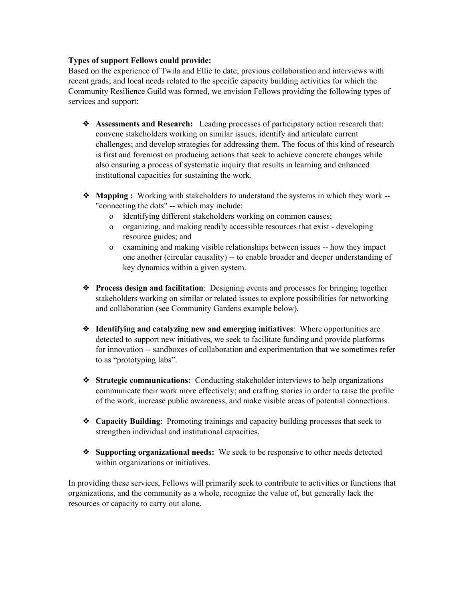### **Types of support Fellows could provide:**

Based on the experience of Twila and Ellie to date; previous collaboration and interviews with recent grads; and local needs related to the specific capacity building activities for which the Community Resilience Guild was formed, we envision Fellows providing the following types of services and support:

- ❖ **Assessments and Research:**Leading processes of participatory action research that: convene stakeholders working on similar issues; identify and articulate current challenges; and develop strategies for addressing them. The focus of this kind of research is first and foremost on producing actions that seek to achieve concrete changes while also ensuring a process of systematic inquiry that results in learning and enhanced institutional capacities for sustaining the work.
- ❖ **Mapping :** Working with stakeholders to understand the systems in which they work "connecting the dots" -- which may include:
	- o identifying different stakeholders working on common causes;
	- o organizing, and making readily accessible resources that exist developing resource guides; and
	- o examining and making visible relationships between issues -- how they impact one another (circular causality) -- to enable broader and deeper understanding of key dynamics within a given system.
- ❖ **Process design and facilitation**: Designing events and processes for bringing together stakeholders working on similar or related issues to explore possibilities for networking and collaboration (see Community Gardens example below).
- ❖ **Identifying and catalyzing new and emerging initiatives**: Where opportunities are detected to support new initiatives, we seek to facilitate funding and provide platforms for innovation -- sandboxes of collaboration and experimentation that we sometimes refer to as "prototyping labs".
- ❖ **Strategic communications:**Conducting stakeholder interviews to help organizations communicate their work more effectively; and crafting stories in order to raise the profile of the work, increase public awareness, and make visible areas of potential connections.
- ❖ **Capacity Building**: Promoting trainings and capacity building processes that seek to strengthen individual and institutional capacities.
- ❖ **Supporting organizational needs:**We seek to be responsive to other needs detected within organizations or initiatives.

In providing these services, Fellows will primarily seek to contribute to activities or functions that organizations, and the community as a whole, recognize the value of, but generally lack the resources or capacity to carry out alone.